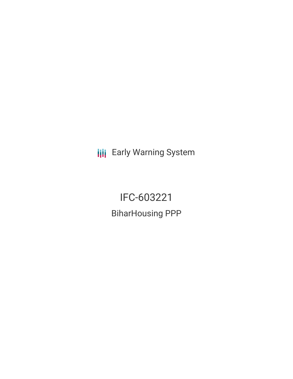**III** Early Warning System

IFC-603221 BiharHousing PPP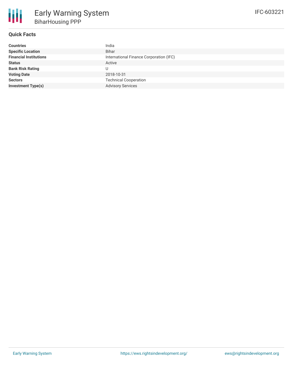### **Quick Facts**

| <b>Countries</b>              | India                                   |
|-------------------------------|-----------------------------------------|
| <b>Specific Location</b>      | Bihar                                   |
| <b>Financial Institutions</b> | International Finance Corporation (IFC) |
| <b>Status</b>                 | Active                                  |
| <b>Bank Risk Rating</b>       |                                         |
| <b>Voting Date</b>            | 2018-10-31                              |
| <b>Sectors</b>                | <b>Technical Cooperation</b>            |
| <b>Investment Type(s)</b>     | <b>Advisory Services</b>                |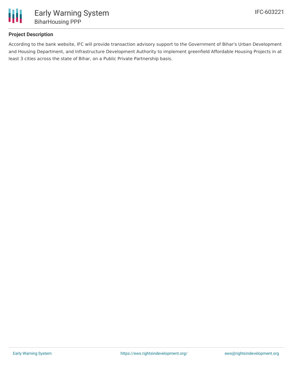

# **Project Description**

According to the bank website, IFC will provide transaction advisory support to the Government of Bihar's Urban Development and Housing Department, and Infrastructure Development Authority to implement greenfield Affordable Housing Projects in at least 3 cities across the state of Bihar, on a Public Private Partnership basis.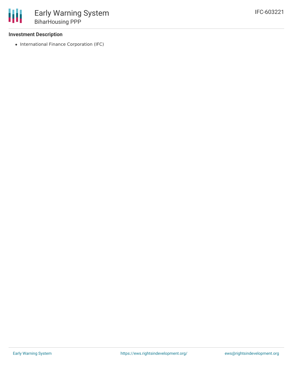### **Investment Description**

• International Finance Corporation (IFC)